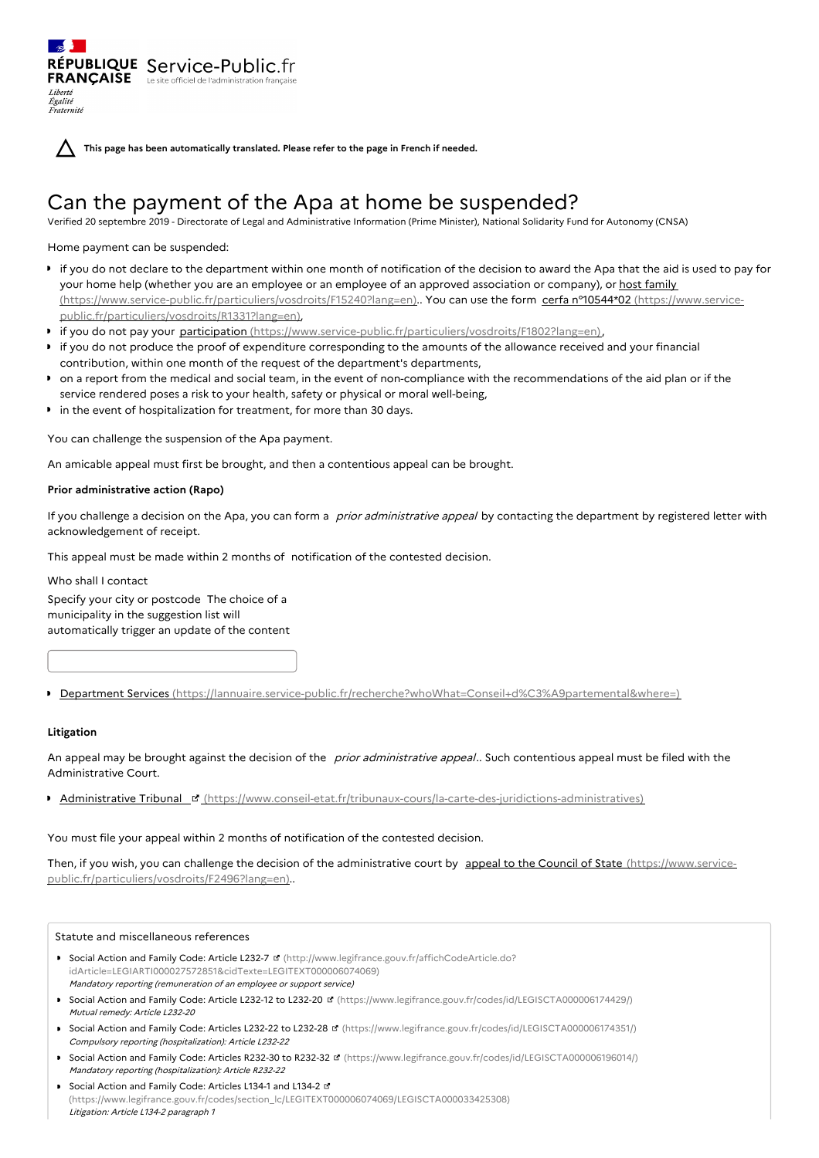**This page has been automatically translated. Please refer to the page in French if needed.**

# Can the payment of the Apa at home be suspended?

Verified 20 septembre 2019 - Directorate of Legal and Administrative Information (Prime Minister), National Solidarity Fund for Autonomy (CNSA)

### Home payment can be suspended:

Liberté Égalité Fraternité

RÉPUBLIQUE Service-Public.fr **FRANÇAISE** Le site officiel de l'administration fran

- if you do not declare to the department within one month of notification of the decision to award the Apa that the aid is used to pay for your home help (whether you are an employee or an employee of an approved association or company), or host family [\(https://www.service-public.fr/particuliers/vosdroits/F15240?lang=en\)..](https://www.service-public.fr/particuliers/vosdroits/F15240?lang=en) You can use the form cerfa n°10544\*02 (https://www.servicepublic.fr/particuliers/vosdroits/R1331?lang=en),
- **Fif you do not pay your participation** [\(https://www.service-public.fr/particuliers/vosdroits/F1802?lang=en\)](https://www.service-public.fr/particuliers/vosdroits/F1802?lang=en),
- if you do not produce the proof of expenditure corresponding to the amounts of the allowance received and your financial contribution, within one month of the request of the department's departments,
- on a report from the medical and social team, in the event of non-compliance with the recommendations of the aid plan or if the service rendered poses a risk to your health, safety or physical or moral well-being,
- $\bullet$  in the event of hospitalization for treatment, for more than 30 days.

You can challenge the suspension of the Apa payment.

An amicable appeal must first be brought, and then a contentious appeal can be brought.

# **Prior administrative action (Rapo)**

If you challenge a decision on the Apa, you can form a prior administrative appeal by contacting the department by registered letter with acknowledgement of receipt.

This appeal must be made within 2 months of notification of the contested decision.

Who shall I contact

Specify your city or postcode The choice of a municipality in the suggestion list will automatically trigger an update of the content

Department Services [\(https://lannuaire.service-public.fr/recherche?whoWhat=Conseil+d%C3%A9partemental&where=\)](https://lannuaire.service-public.fr/recherche?whoWhat=Conseil+d%25C3%25A9partemental&where=)

# **Litigation**

An appeal may be brought against the decision of the prior administrative appeal.. Such contentious appeal must be filed with the Administrative Court.

 $\blacktriangleright$  Administrative Tribunal  $\blacktriangleright$  [\(https://www.conseil-etat.fr/tribunaux-cours/la-carte-des-juridictions-administratives\)](https://www.conseil-etat.fr/tribunaux-cours/la-carte-des-juridictions-administratives)

You must file your appeal within 2 months of notification of the contested decision.

Then, if you wish, you can challenge the decision of the administrative court by appeal to the Council of State (https://www.service[public.fr/particuliers/vosdroits/F2496?lang=en\)..](https://www.service-public.fr/particuliers/vosdroits/F2496?lang=en)

#### Statute and miscellaneous references

- Social Action and Family Code: Article L232-7 **¤** (http://www.legifrance.gouv.fr/affichCodeArticle.do? [idArticle=LEGIARTI000027572851&cidTexte=LEGITEXT000006074069\)](http://www.legifrance.gouv.fr/affichCodeArticle.do?idArticle=LEGIARTI000027572851&cidTexte=LEGITEXT000006074069) Mandatory reporting (remuneration of an employee or support service)
- Social Action and Family Code: Article L232-12 to L232-20 **¤** [\(https://www.legifrance.gouv.fr/codes/id/LEGISCTA000006174429/\)](https://www.legifrance.gouv.fr/codes/id/LEGISCTA000006174429/) Mutual remedy: Article L232-20
- Social Action and Family Code: Articles L232-22 to L232-28 **d'** [\(https://www.legifrance.gouv.fr/codes/id/LEGISCTA000006174351/\)](https://www.legifrance.gouv.fr/codes/id/LEGISCTA000006174351/) Compulsory reporting (hospitalization): Article L232-22
- Social Action and Family Code: Articles R232-30 to R232-32 [\(https://www.legifrance.gouv.fr/codes/id/LEGISCTA000006196014/\)](https://www.legifrance.gouv.fr/codes/id/LEGISCTA000006196014/) Mandatory reporting (hospitalization): Article R232-22
- Social Action and Family Code: Articles L134-1 and L134-2 E [\(https://www.legifrance.gouv.fr/codes/section\\_lc/LEGITEXT000006074069/LEGISCTA000033425308\)](https://www.legifrance.gouv.fr/codes/section_lc/LEGITEXT000006074069/LEGISCTA000033425308) Litigation: Article L134-2 paragraph 1